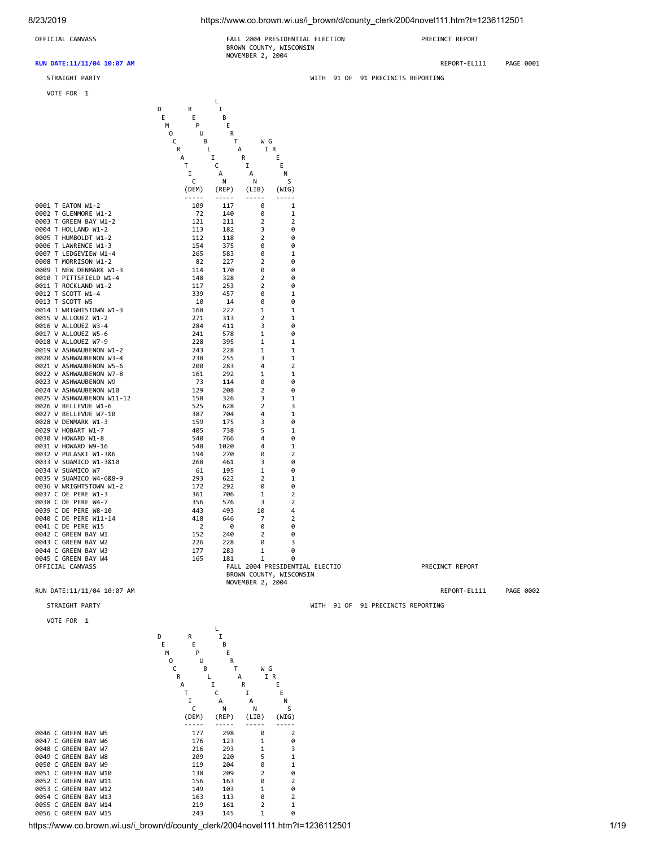8/23/2019 https://www.co.brown.wi.us/i\_brown/d/county\_clerk/2004novel111.htm?t=1236112501

## **RUN DATE:11/11/04 10:07 AM** REPORT-EL111 PAGE 0001

**Line of the control of the control of the control of the control of the control of the control of the control**  D R I E E B M P E

VOTE FOR 1

OFFICIAL CANVASS FALL 2004 PRESIDENTIAL ELECTION PRECINCT REPORT BROWN COUNTY, WISCONSIN NOVEMBER 2, 2004

STRAIGHT PARTY WITH 91 OF 91 PRECINCTS REPORTING

|                           | 0<br>U                   | R             |                                                                                                                                                                                                                                                                                                                                                                                              |                                |
|---------------------------|--------------------------|---------------|----------------------------------------------------------------------------------------------------------------------------------------------------------------------------------------------------------------------------------------------------------------------------------------------------------------------------------------------------------------------------------------------|--------------------------------|
|                           | C<br>В                   | T             | W G                                                                                                                                                                                                                                                                                                                                                                                          |                                |
|                           | R                        | $\mathsf{L}$  | $\mathsf{A}$                                                                                                                                                                                                                                                                                                                                                                                 | I R                            |
|                           | A                        | I             | R                                                                                                                                                                                                                                                                                                                                                                                            | E                              |
|                           | T.                       | C             | I                                                                                                                                                                                                                                                                                                                                                                                            | E                              |
|                           | Ι.                       | A             | A                                                                                                                                                                                                                                                                                                                                                                                            | N                              |
|                           | C                        | N             | N                                                                                                                                                                                                                                                                                                                                                                                            | S                              |
|                           | (DEM)                    | (REP)         | (LIB)                                                                                                                                                                                                                                                                                                                                                                                        | (WIG)                          |
|                           | -----                    | $- - - - - -$ | $\frac{1}{2} \frac{1}{2} \frac{1}{2} \frac{1}{2} \frac{1}{2} \frac{1}{2} \frac{1}{2} \frac{1}{2} \frac{1}{2} \frac{1}{2} \frac{1}{2} \frac{1}{2} \frac{1}{2} \frac{1}{2} \frac{1}{2} \frac{1}{2} \frac{1}{2} \frac{1}{2} \frac{1}{2} \frac{1}{2} \frac{1}{2} \frac{1}{2} \frac{1}{2} \frac{1}{2} \frac{1}{2} \frac{1}{2} \frac{1}{2} \frac{1}{2} \frac{1}{2} \frac{1}{2} \frac{1}{2} \frac{$ |                                |
| 0001 T EATON W1-2         | 109                      | 117           | 0                                                                                                                                                                                                                                                                                                                                                                                            | 1                              |
| 0002 T GLENMORE W1-2      | 72                       | 140           | 0                                                                                                                                                                                                                                                                                                                                                                                            | 1                              |
| 0003 T GREEN BAY W1-2     | 121                      | 211           | $\overline{2}$                                                                                                                                                                                                                                                                                                                                                                               | $\overline{2}$                 |
| 0004 T HOLLAND W1-2       | 113                      | 182           | 3                                                                                                                                                                                                                                                                                                                                                                                            | 0                              |
| 0005 T HUMBOLDT W1-2      | 112                      | 118           | $\overline{2}$                                                                                                                                                                                                                                                                                                                                                                               | 0                              |
| 0006 T LAWRENCE W1-3      | 154                      | 375           | 0                                                                                                                                                                                                                                                                                                                                                                                            | 0                              |
| 0007 T LEDGEVIEW W1-4     | 265                      | 583           | 0                                                                                                                                                                                                                                                                                                                                                                                            | $\mathbf 1$                    |
| 0008 T MORRISON W1-2      | 82                       | 227           | $\overline{2}$                                                                                                                                                                                                                                                                                                                                                                               | 0                              |
| 0009 T NEW DENMARK W1-3   | 114                      | 170           | 0                                                                                                                                                                                                                                                                                                                                                                                            | 0                              |
| 0010 T PITTSFIELD W1-4    | 148                      | 328           | $\overline{2}$                                                                                                                                                                                                                                                                                                                                                                               | 0                              |
| 0011 T ROCKLAND W1-2      | 117                      | 253           | $\overline{2}$                                                                                                                                                                                                                                                                                                                                                                               | 0                              |
| 0012 T SCOTT W1-4         | 339                      | 457           | 0                                                                                                                                                                                                                                                                                                                                                                                            | 1                              |
| 0013 T SCOTT W5           | - 10                     | 14            | 0                                                                                                                                                                                                                                                                                                                                                                                            | 0                              |
| 0014 T WRIGHTSTOWN W1-3   | 168                      | 227           | $\mathbf{1}$                                                                                                                                                                                                                                                                                                                                                                                 | $\mathbf{1}$                   |
| 0015 V ALLOUEZ W1-2       | 271                      | 313           | $\overline{2}$                                                                                                                                                                                                                                                                                                                                                                               | 1                              |
| 0016 V ALLOUEZ W3-4       | 284                      | 411           | 3                                                                                                                                                                                                                                                                                                                                                                                            | 0                              |
| 0017 V ALLOUEZ W5-6       | 241                      | 578           | 1                                                                                                                                                                                                                                                                                                                                                                                            | 0                              |
| 0018 V ALLOUEZ W7-9       | 228                      | 395           | 1                                                                                                                                                                                                                                                                                                                                                                                            | $\mathbf 1$                    |
| 0019 V ASHWAUBENON W1-2   | 243                      | 228           | $\mathbf{1}$                                                                                                                                                                                                                                                                                                                                                                                 | $\mathbf{1}$                   |
| 0020 V ASHWAUBENON W3-4   | 238                      | 255           | 3                                                                                                                                                                                                                                                                                                                                                                                            | $\mathbf{1}$                   |
| 0021 V ASHWAUBENON W5-6   | 200                      | 283           | 4                                                                                                                                                                                                                                                                                                                                                                                            | $\overline{2}$                 |
| 0022 V ASHWAUBENON W7-8   | 161                      | 292           | $\mathbf{1}$                                                                                                                                                                                                                                                                                                                                                                                 | $\mathbf{1}$                   |
| 0023 V ASHWAUBENON W9     | - 73                     | 114           | ø                                                                                                                                                                                                                                                                                                                                                                                            | Ø                              |
| 0024 V ASHWAUBENON W10    | 129                      | 208           | $\overline{2}$                                                                                                                                                                                                                                                                                                                                                                               | 0                              |
| 0025 V ASHWAUBENON W11-12 | 158                      | 326           | 3                                                                                                                                                                                                                                                                                                                                                                                            | $\mathbf{1}$                   |
| 0026 V BELLEVUE W1-6      | 525                      | 628           | $\overline{2}$                                                                                                                                                                                                                                                                                                                                                                               | 3                              |
| 0027 V BELLEVUE W7-10     | 387                      | 704           | 4                                                                                                                                                                                                                                                                                                                                                                                            | 1                              |
| 0028 V DENMARK W1-3       | 159                      | 175           | 3                                                                                                                                                                                                                                                                                                                                                                                            | 0                              |
| 0029 V HOBART W1-7        | 405                      | 738           | 5                                                                                                                                                                                                                                                                                                                                                                                            | $\mathbf{1}$                   |
| 0030 V HOWARD W1-8        | 540                      | 766           | 4                                                                                                                                                                                                                                                                                                                                                                                            | 0                              |
| 0031 V HOWARD W9-16       | 548                      | 1020          | 4                                                                                                                                                                                                                                                                                                                                                                                            | 1                              |
| 0032 V PULASKI W1-3&6     | 194                      | 270           | 0                                                                                                                                                                                                                                                                                                                                                                                            | $\overline{2}$                 |
| 0033 V SUAMICO W1-3&10    | 268                      | 461           | 3                                                                                                                                                                                                                                                                                                                                                                                            | 0                              |
| 0034 V SUAMICO W7         | -61                      | 195           | 1                                                                                                                                                                                                                                                                                                                                                                                            | 0                              |
| 0035 V SUAMICO W4-6&8-9   | 293                      | 622           | $\overline{2}$                                                                                                                                                                                                                                                                                                                                                                               | 1                              |
| 0036 V WRIGHTSTOWN W1-2   | 172                      | 292           | 0                                                                                                                                                                                                                                                                                                                                                                                            | 0                              |
| 0037 C DE PERE W1-3       | 361                      | 706           | $\mathbf{1}$                                                                                                                                                                                                                                                                                                                                                                                 | $\overline{2}$                 |
| 0038 C DE PERE W4-7       | 356                      | 576           | 3                                                                                                                                                                                                                                                                                                                                                                                            | $\overline{2}$                 |
| 0039 C DE PERE W8-10      | 443                      | 493           | 10                                                                                                                                                                                                                                                                                                                                                                                           | 4                              |
| 0040 C DE PERE W11-14     | 418                      | 646           | 7                                                                                                                                                                                                                                                                                                                                                                                            | $\overline{2}$                 |
| 0041 C DE PERE W15        | $\overline{\phantom{0}}$ | 0             | 0                                                                                                                                                                                                                                                                                                                                                                                            | 0                              |
| 0042 C GREEN BAY W1       | 152                      | 240           | $\overline{2}$                                                                                                                                                                                                                                                                                                                                                                               | 0                              |
| 0043 C GREEN BAY W2       | 226                      | 228           | 0                                                                                                                                                                                                                                                                                                                                                                                            | 3                              |
| 0044 C GREEN BAY W3       | 177                      | 283           | 1                                                                                                                                                                                                                                                                                                                                                                                            | 0                              |
| 0045 C GREEN BAY W4       | 165                      | 181           | 1                                                                                                                                                                                                                                                                                                                                                                                            | 0                              |
| OFFICIAL CANVASS          |                          |               |                                                                                                                                                                                                                                                                                                                                                                                              | FALL 2004 PRESIDENTIAL ELECTIO |
|                           |                          |               |                                                                                                                                                                                                                                                                                                                                                                                              | BROWN COUNTY, WISCONSIN        |
|                           |                          |               | NOVEMBER 2, 2004                                                                                                                                                                                                                                                                                                                                                                             |                                |

# RUN DATE:11/11/04 10:07 AM REPORT-EL111 PAGE 0002

STRAIGHT PARTY WITH 91 OF 91 PRECINCTS REPORTING

VOTE FOR 1

**Line and Community and Community and Community**  D R I E E B M P E O U R C B T W G R L A IR A I R E T C I E I A A N C N N S (DEM) (REP) (LIB) (WIG) ----- ----- ----- ----- 0046 C GREEN BAY W5 177 298 0 2 0047 C GREEN BAY W6 176 123 1 0 0048 C GREEN BAY W7 216 293 1 3 0049 C GREEN BAY W8 209 220 5 1 0050 C GREEN BAY W9 119 204 0 1 0051 C GREEN BAY W10<br>0052 C GREEN BAY W11 156 163 0 2 0052 C GREEN BAY W11 156 163 0 2 0053 C GREEN BAY W12 149 103 1 0 0054 C GREEN BAY W13 163 113 0 2 0055 C GREEN BAY W14 219 161 2 1<br>10056 C GREEN BAY W15 243 145 1 0 0056 C GREEN BAY W15

https://www.co.brown.wi.us/i\_brown/d/county\_clerk/2004novel111.htm?t=1236112501 1/19

PRECINCT REPORT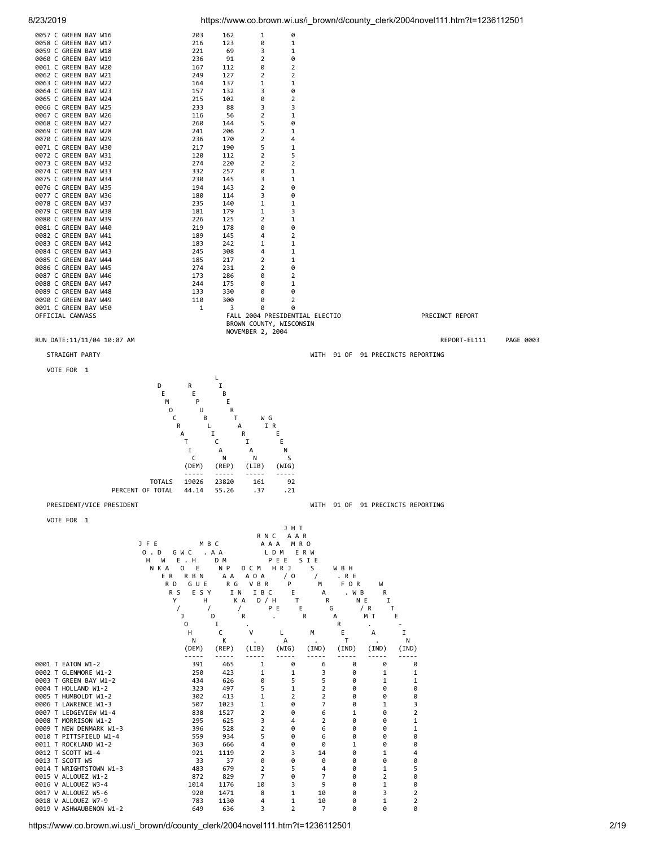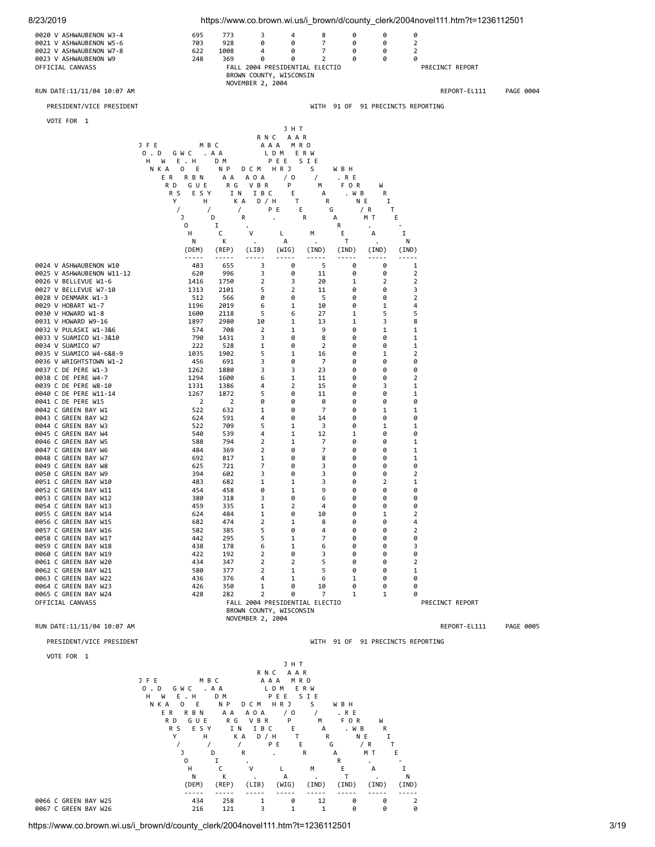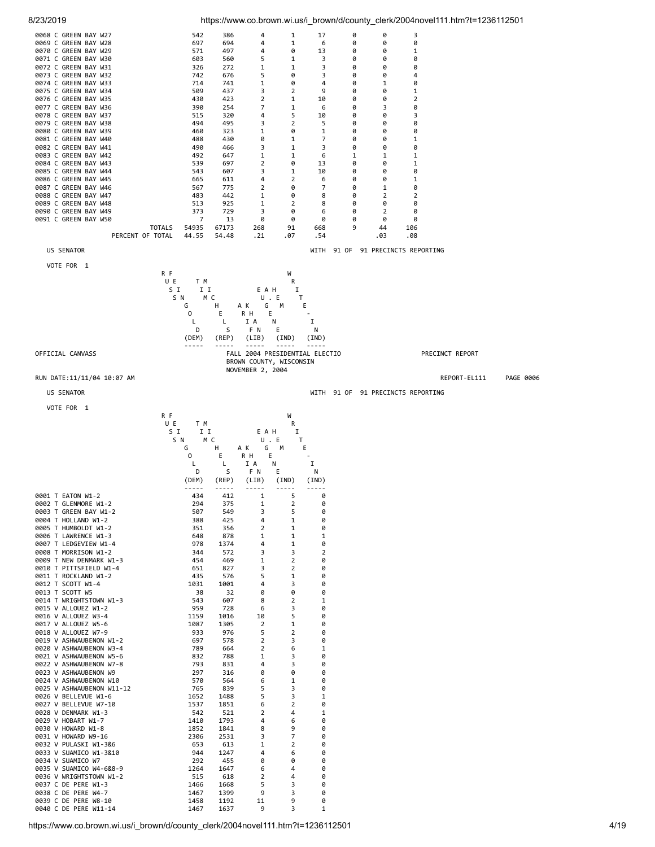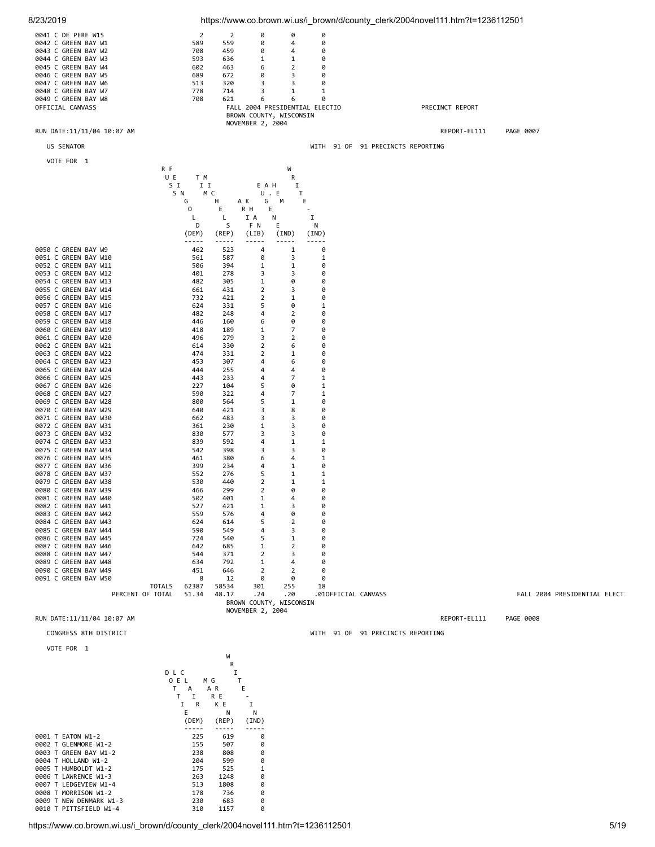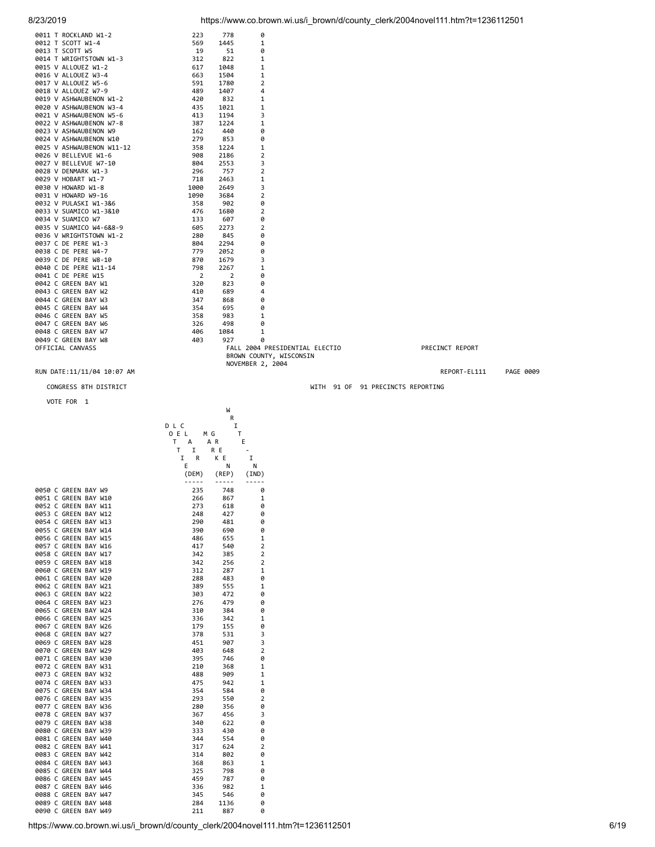| 0011 T ROCKLAND W1-2                         | 223        | 778            | 0                        |                                |                                   |                 |           |
|----------------------------------------------|------------|----------------|--------------------------|--------------------------------|-----------------------------------|-----------------|-----------|
| 0012 T SCOTT W1-4                            | 569        | 1445           | 1                        |                                |                                   |                 |           |
| 0013 T SCOTT W5                              | 19         | 51             | 0                        |                                |                                   |                 |           |
| 0014 T WRIGHTSTOWN W1-3                      | 312        | 822            | 1                        |                                |                                   |                 |           |
|                                              |            |                |                          |                                |                                   |                 |           |
| 0015 V ALLOUEZ W1-2                          | 617        | 1048           | 1                        |                                |                                   |                 |           |
| 0016 V ALLOUEZ W3-4                          | 663        | 1504           | 1                        |                                |                                   |                 |           |
| 0017 V ALLOUEZ W5-6                          | 591        | 1780           | $\overline{2}$           |                                |                                   |                 |           |
| 0018 V ALLOUEZ W7-9                          | 489        | 1407           | 4                        |                                |                                   |                 |           |
| 0019 V ASHWAUBENON W1-2                      | 420        | 832            | 1                        |                                |                                   |                 |           |
| 0020 V ASHWAUBENON W3-4                      | 435        | 1021           | 1                        |                                |                                   |                 |           |
| 0021 V ASHWAUBENON W5-6                      | 413        | 1194           | 3                        |                                |                                   |                 |           |
| 0022 V ASHWAUBENON W7-8                      | 387        | 1224           | 1                        |                                |                                   |                 |           |
| 0023 V ASHWAUBENON W9                        | 162        | 440            | 0                        |                                |                                   |                 |           |
|                                              |            |                |                          |                                |                                   |                 |           |
| 0024 V ASHWAUBENON W10                       | 279        | 853            | 0                        |                                |                                   |                 |           |
| 0025 V ASHWAUBENON W11-12                    | 358        | 1224           | 1                        |                                |                                   |                 |           |
| 0026 V BELLEVUE W1-6                         | 908        | 2186           | 2                        |                                |                                   |                 |           |
| 0027 V BELLEVUE W7-10                        | 804        | 2553           | 3                        |                                |                                   |                 |           |
| 0028 V DENMARK W1-3                          | 296        | 757            | $\overline{2}$           |                                |                                   |                 |           |
| 0029 V HOBART W1-7                           | 718        | 2463           | 1                        |                                |                                   |                 |           |
| 0030 V HOWARD W1-8                           | 1000       | 2649           | 3                        |                                |                                   |                 |           |
|                                              |            |                |                          |                                |                                   |                 |           |
| 0031 V HOWARD W9-16                          | 1090       | 3684           | 2                        |                                |                                   |                 |           |
| 0032 V PULASKI W1-3&6                        | 358        | 902            | 0                        |                                |                                   |                 |           |
| 0033 V SUAMICO W1-3&10                       | 476        | 1680           | 2                        |                                |                                   |                 |           |
| 0034 V SUAMICO W7                            | 133        | 607            | 0                        |                                |                                   |                 |           |
| 0035 V SUAMICO W4-6&8-9                      | 605        | 2273           | 2                        |                                |                                   |                 |           |
| 0036 V WRIGHTSTOWN W1-2                      | 280        | 845            | 0                        |                                |                                   |                 |           |
| 0037 C DE PERE W1-3                          | 804        | 2294           | 0                        |                                |                                   |                 |           |
| 0038 C DE PERE W4-7                          | 779        | 2052           | 0                        |                                |                                   |                 |           |
|                                              |            |                |                          |                                |                                   |                 |           |
| 0039 C DE PERE W8-10                         | 870        | 1679           | 3                        |                                |                                   |                 |           |
| 0040 C DE PERE W11-14                        | 798        | 2267           | 1                        |                                |                                   |                 |           |
| 0041 C DE PERE W15                           | 2          | $\overline{2}$ | 0                        |                                |                                   |                 |           |
| 0042 C GREEN BAY W1                          | 320        | 823            | 0                        |                                |                                   |                 |           |
| 0043 C GREEN BAY W2                          | 410        | 689            | 4                        |                                |                                   |                 |           |
| 0044 C GREEN BAY W3                          | 347        | 868            | 0                        |                                |                                   |                 |           |
| 0045 C GREEN BAY W4                          | 354        | 695            | 0                        |                                |                                   |                 |           |
|                                              | 358        | 983            |                          |                                |                                   |                 |           |
| 0046 C GREEN BAY W5                          |            |                | 1                        |                                |                                   |                 |           |
| 0047 C GREEN BAY W6                          | 326        | 498            | 0                        |                                |                                   |                 |           |
| 0048 C GREEN BAY W7                          | 406        | 1084           | 1                        |                                |                                   |                 |           |
| 0049 C GREEN BAY W8                          | 403        | 927            | 0                        |                                |                                   |                 |           |
| OFFICIAL CANVASS                             |            |                |                          | FALL 2004 PRESIDENTIAL ELECTIO |                                   | PRECINCT REPORT |           |
|                                              |            |                | BROWN COUNTY, WISCONSIN  |                                |                                   |                 |           |
|                                              |            |                | NOVEMBER 2, 2004         |                                |                                   |                 |           |
| RUN DATE:11/11/04 10:07 AM                   |            |                |                          |                                |                                   | REPORT-EL111    | PAGE 0009 |
|                                              |            |                |                          |                                |                                   |                 |           |
| CONGRESS 8TH DISTRICT                        |            |                |                          |                                | WITH 91 OF 91 PRECINCTS REPORTING |                 |           |
|                                              |            |                |                          |                                |                                   |                 |           |
|                                              |            |                |                          |                                |                                   |                 |           |
|                                              |            |                |                          |                                |                                   |                 |           |
| VOTE FOR 1                                   |            |                |                          |                                |                                   |                 |           |
|                                              |            | W              |                          |                                |                                   |                 |           |
|                                              |            | R              |                          |                                |                                   |                 |           |
|                                              | D L C      | I              |                          |                                |                                   |                 |           |
|                                              |            | T              |                          |                                |                                   |                 |           |
|                                              | 0 E L      | ΜG             |                          |                                |                                   |                 |           |
|                                              | T.<br>А    | A R            | E.                       |                                |                                   |                 |           |
|                                              | Ι.<br>T    | R E            | $\overline{\phantom{a}}$ |                                |                                   |                 |           |
|                                              | R<br>Ι.    | K E            | I                        |                                |                                   |                 |           |
|                                              | Ε          | Ν              | N                        |                                |                                   |                 |           |
|                                              | (DEM)      | (REP)          | (IND)                    |                                |                                   |                 |           |
|                                              |            | -----          | -----                    |                                |                                   |                 |           |
|                                              |            |                |                          |                                |                                   |                 |           |
| 0050 C GREEN BAY W9                          | 235        | 748            | 0                        |                                |                                   |                 |           |
| 0051 C GREEN BAY W10                         | 266        | 867            | 1                        |                                |                                   |                 |           |
| 0052 C GREEN BAY W11                         | 273        | 618            | 0                        |                                |                                   |                 |           |
| 0053 C GREEN BAY W12                         | 248        | 427            | 0                        |                                |                                   |                 |           |
| 0054 C GREEN BAY W13                         | 290        | 481            | 0                        |                                |                                   |                 |           |
| 0055 C GREEN BAY W14                         | 390        | 690            | 0                        |                                |                                   |                 |           |
| 0056 C GREEN BAY W15                         | 486        | 655            | 1                        |                                |                                   |                 |           |
| 0057 C GREEN BAY W16                         | 417        | 540            | 2                        |                                |                                   |                 |           |
| 0058 C GREEN BAY W17                         | 342        | 385            | $\overline{2}$           |                                |                                   |                 |           |
|                                              |            |                | $\overline{2}$           |                                |                                   |                 |           |
| 0059 C GREEN BAY W18                         | 342        | 256            |                          |                                |                                   |                 |           |
| 0060 C GREEN BAY W19                         | 312        | 287            | 1                        |                                |                                   |                 |           |
| 0061 C GREEN BAY W20                         | 288        | 483            | 0                        |                                |                                   |                 |           |
| 0062 C GREEN BAY W21                         | 389        | 555            | 1                        |                                |                                   |                 |           |
| 0063 C GREEN BAY W22                         | 303        | 472            | 0                        |                                |                                   |                 |           |
| 0064 C GREEN BAY W23                         | 276        | 479            | 0                        |                                |                                   |                 |           |
| 0065 C GREEN BAY W24                         | 310        | 384            | 0                        |                                |                                   |                 |           |
| 0066 C GREEN BAY W25                         | 336        | 342            | 1                        |                                |                                   |                 |           |
| 0067 C GREEN BAY W26                         | 179        | 155            | 0                        |                                |                                   |                 |           |
|                                              |            |                |                          |                                |                                   |                 |           |
| 0068 C GREEN BAY W27                         | 378        | 531            | 3                        |                                |                                   |                 |           |
| 0069 C GREEN BAY W28                         | 451        | 907            | 3                        |                                |                                   |                 |           |
| 0070 C GREEN BAY W29                         | 403        | 648            | $\overline{2}$           |                                |                                   |                 |           |
| 0071 C GREEN BAY W30                         | 395        | 746            | 0                        |                                |                                   |                 |           |
| 0072 C GREEN BAY W31                         | 210        | 368            | 1                        |                                |                                   |                 |           |
| 0073 C GREEN BAY W32                         | 488        | 909            | 1                        |                                |                                   |                 |           |
| 0074 C GREEN BAY W33                         | 475        | 942            | 1                        |                                |                                   |                 |           |
| 0075 C GREEN BAY W34                         | 354        | 584            | 0                        |                                |                                   |                 |           |
|                                              |            |                |                          |                                |                                   |                 |           |
| 0076 C GREEN BAY W35                         | 293        | 550            | 2                        |                                |                                   |                 |           |
| 0077 C GREEN BAY W36                         | 280        | 356            | 0                        |                                |                                   |                 |           |
| 0078 C GREEN BAY W37                         | 367        | 456            | 3                        |                                |                                   |                 |           |
| 0079 C GREEN BAY W38                         | 340        | 622            | 0                        |                                |                                   |                 |           |
| 0080 C GREEN BAY W39                         | 333        | 430            | 0                        |                                |                                   |                 |           |
| 0081 C GREEN BAY W40                         | 344        | 554            | 0                        |                                |                                   |                 |           |
| 0082 C GREEN BAY W41                         | 317        | 624            | 2                        |                                |                                   |                 |           |
|                                              |            |                | 0                        |                                |                                   |                 |           |
| 0083 C GREEN BAY W42                         | 314        | 802            |                          |                                |                                   |                 |           |
| 0084 C GREEN BAY W43                         | 368        | 863            | 1                        |                                |                                   |                 |           |
| 0085 C GREEN BAY W44                         | 325        | 798            | 0                        |                                |                                   |                 |           |
| 0086 C GREEN BAY W45                         | 459        | 787            | 0                        |                                |                                   |                 |           |
| 0087 C GREEN BAY W46                         | 336        | 982            | 1                        |                                |                                   |                 |           |
| 0088 C GREEN BAY W47                         | 345        | 546            | 0                        |                                |                                   |                 |           |
| 0089 C GREEN BAY W48<br>0090 C GREEN BAY W49 | 284<br>211 | 1136<br>887    | 0<br>0                   |                                |                                   |                 |           |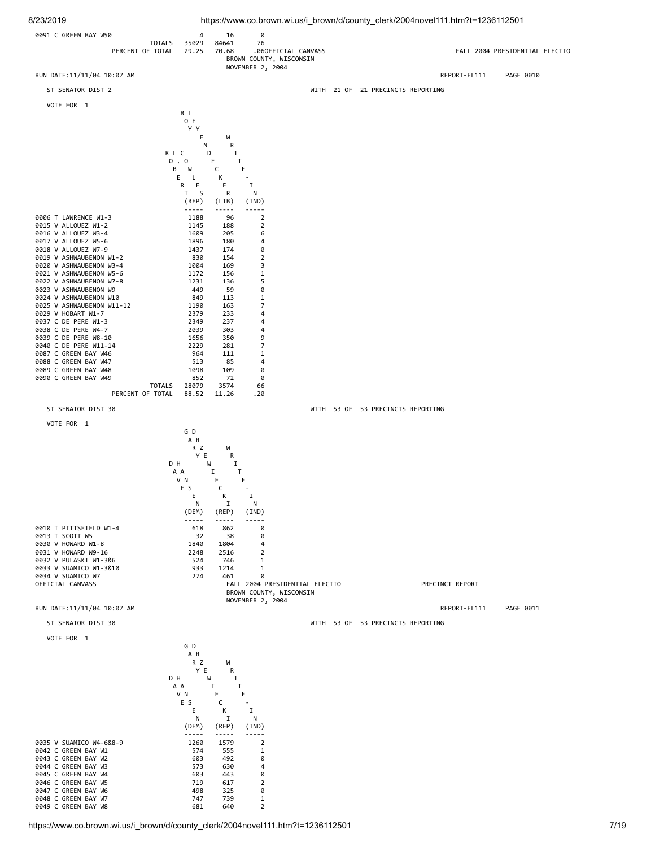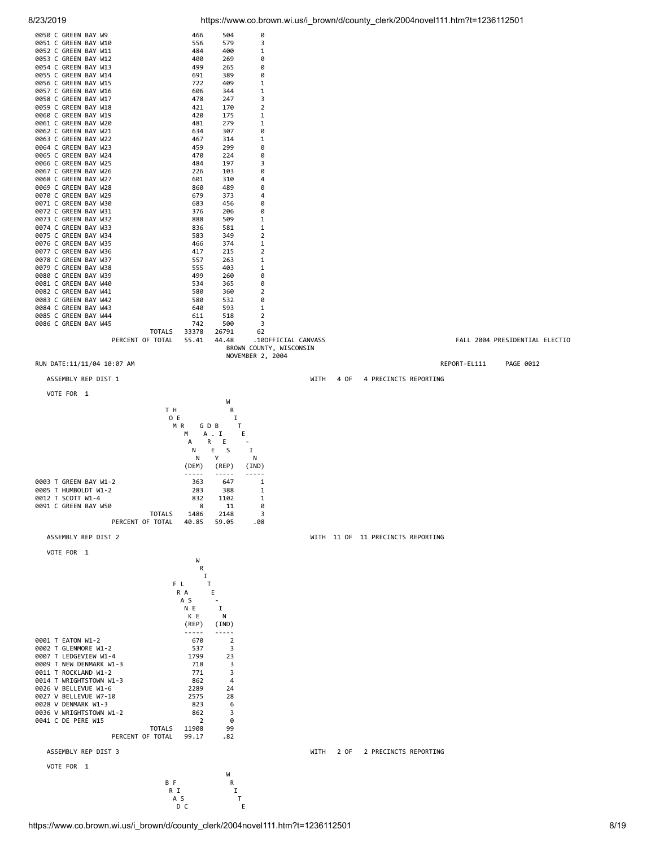

|                                                  |                      |                     |                                                |              | $\frac{1}{2}$ in ps.//www.co.biowir.wi.us/i_biowir/u/county_cicritized-filover i i i intiti : t-1200 i i 200 |              |                                |
|--------------------------------------------------|----------------------|---------------------|------------------------------------------------|--------------|--------------------------------------------------------------------------------------------------------------|--------------|--------------------------------|
| 0050 C GREEN BAY W9                              | 466                  | 504                 | 0                                              |              |                                                                                                              |              |                                |
| 0051 C GREEN BAY W10                             | 556                  | 579                 | 3                                              |              |                                                                                                              |              |                                |
| 0052 C GREEN BAY W11<br>0053 C GREEN BAY W12     | 484<br>400           | 400<br>269          | 1<br>0                                         |              |                                                                                                              |              |                                |
| 0054 C GREEN BAY W13                             | 499                  | 265                 | 0                                              |              |                                                                                                              |              |                                |
| 0055 C GREEN BAY W14                             | 691                  | 389                 | 0                                              |              |                                                                                                              |              |                                |
| 0056 C GREEN BAY W15                             | 722                  | 409                 | 1                                              |              |                                                                                                              |              |                                |
| 0057 C GREEN BAY W16                             | 606                  | 344                 | 1                                              |              |                                                                                                              |              |                                |
| 0058 C GREEN BAY W17<br>0059 C GREEN BAY W18     | 478<br>421           | 247<br>170          | 3<br>$\overline{2}$                            |              |                                                                                                              |              |                                |
| 0060 C GREEN BAY W19                             | 420                  | 175                 | 1                                              |              |                                                                                                              |              |                                |
| 0061 C GREEN BAY W20                             | 481                  | 279                 | 1                                              |              |                                                                                                              |              |                                |
| 0062 C GREEN BAY W21                             | 634                  | 307                 | 0                                              |              |                                                                                                              |              |                                |
| 0063 C GREEN BAY W22<br>0064 C GREEN BAY W23     | 467<br>459           | 314<br>299          | 1<br>0                                         |              |                                                                                                              |              |                                |
| 0065 C GREEN BAY W24                             | 470                  | 224                 | 0                                              |              |                                                                                                              |              |                                |
| 0066 C GREEN BAY W25                             | 484                  | 197                 | 3                                              |              |                                                                                                              |              |                                |
| 0067 C GREEN BAY W26                             | 226                  | 103                 | 0                                              |              |                                                                                                              |              |                                |
| 0068 C GREEN BAY W27<br>0069 C GREEN BAY W28     | 601<br>860           | 310<br>489          | 4<br>0                                         |              |                                                                                                              |              |                                |
| 0070 C GREEN BAY W29                             | 679                  | 373                 | 4                                              |              |                                                                                                              |              |                                |
| 0071 C GREEN BAY W30                             | 683                  | 456                 | 0                                              |              |                                                                                                              |              |                                |
| 0072 C GREEN BAY W31                             | 376                  | 206                 | 0                                              |              |                                                                                                              |              |                                |
| 0073 C GREEN BAY W32<br>0074 C GREEN BAY W33     | 888<br>836           | 509<br>581          | 1<br>1                                         |              |                                                                                                              |              |                                |
| 0075 C GREEN BAY W34                             | 583                  | 349                 | 2                                              |              |                                                                                                              |              |                                |
| 0076 C GREEN BAY W35                             | 466                  | 374                 | 1                                              |              |                                                                                                              |              |                                |
| 0077 C GREEN BAY W36                             | 417                  | 215                 | 2                                              |              |                                                                                                              |              |                                |
| 0078 C GREEN BAY W37<br>0079 C GREEN BAY W38     | 557<br>555           | 263<br>403          | 1<br>1                                         |              |                                                                                                              |              |                                |
| 0080 C GREEN BAY W39                             | 499                  | 260                 | 0                                              |              |                                                                                                              |              |                                |
| 0081 C GREEN BAY W40                             | 534                  | 365                 | 0                                              |              |                                                                                                              |              |                                |
| 0082 C GREEN BAY W41                             | 580                  | 360                 | $\overline{2}$                                 |              |                                                                                                              |              |                                |
| 0083 C GREEN BAY W42<br>0084 C GREEN BAY W43     | 580<br>640           | 532<br>593          | 0<br>1                                         |              |                                                                                                              |              |                                |
| 0085 C GREEN BAY W44                             | 611                  | 518                 | 2                                              |              |                                                                                                              |              |                                |
| 0086 C GREEN BAY W45                             | 742                  | 500                 | 3                                              |              |                                                                                                              |              |                                |
| <b>TOTALS</b>                                    | 33378                | 26791               | 62                                             |              |                                                                                                              |              |                                |
| PERCENT OF TOTAL                                 | 55.41                | 44.48               | .100FFICIAL CANVASS<br>BROWN COUNTY, WISCONSIN |              |                                                                                                              |              | FALL 2004 PRESIDENTIAL ELECTIO |
|                                                  |                      |                     | NOVEMBER 2, 2004                               |              |                                                                                                              |              |                                |
| RUN DATE:11/11/04 10:07 AM                       |                      |                     |                                                |              |                                                                                                              | REPORT-EL111 | PAGE 0012                      |
| ASSEMBLY REP DIST 1                              |                      |                     |                                                | 4 OF<br>WITH | 4 PRECINCTS REPORTING                                                                                        |              |                                |
|                                                  |                      |                     |                                                |              |                                                                                                              |              |                                |
| VOTE FOR 1                                       |                      | W                   |                                                |              |                                                                                                              |              |                                |
|                                                  |                      | R                   |                                                |              |                                                                                                              |              |                                |
|                                                  |                      |                     |                                                |              |                                                                                                              |              |                                |
| T H<br>O E                                       |                      | 1                   |                                                |              |                                                                                                              |              |                                |
|                                                  | M R                  | G D B<br>Τ          |                                                |              |                                                                                                              |              |                                |
|                                                  | М                    | A . I<br>Ε          |                                                |              |                                                                                                              |              |                                |
|                                                  | А                    | R E                 | $\blacksquare$                                 |              |                                                                                                              |              |                                |
|                                                  | Ν<br>N               | E.<br><b>S</b><br>Y | I<br>Ν                                         |              |                                                                                                              |              |                                |
|                                                  | (DEM)                | (REP)               | (IND)                                          |              |                                                                                                              |              |                                |
|                                                  | $\cdots\cdots\cdots$ | $- - - - -$         | -----                                          |              |                                                                                                              |              |                                |
| 0003 T GREEN BAY W1-2                            | 363                  | 647                 | 1                                              |              |                                                                                                              |              |                                |
| 0005 T HUMBOLDT W1-2<br>0012 T SCOTT W1-4        | 283<br>832           | 388<br>1102         | 1<br>1                                         |              |                                                                                                              |              |                                |
| 0091 C GREEN BAY W50                             | 8                    | 11                  | 0                                              |              |                                                                                                              |              |                                |
| <b>TOTALS</b>                                    | 1486                 | 2148                | 3                                              |              |                                                                                                              |              |                                |
| PERCENT OF TOTAL                                 | 40.85                | 59.05               | .08                                            |              |                                                                                                              |              |                                |
| ASSEMBLY REP DIST 2                              |                      |                     |                                                |              | WITH 11 OF 11 PRECINCTS REPORTING                                                                            |              |                                |
| VOTE FOR 1                                       |                      |                     |                                                |              |                                                                                                              |              |                                |
|                                                  | W                    |                     |                                                |              |                                                                                                              |              |                                |
|                                                  | R                    |                     |                                                |              |                                                                                                              |              |                                |
|                                                  | 1<br>FL.             | T                   |                                                |              |                                                                                                              |              |                                |
|                                                  | R A                  | Ε                   |                                                |              |                                                                                                              |              |                                |
|                                                  | A S                  | $\blacksquare$      |                                                |              |                                                                                                              |              |                                |
|                                                  | N E                  | I                   |                                                |              |                                                                                                              |              |                                |
|                                                  | K E<br>(REP)         | Ν<br>(IND)          |                                                |              |                                                                                                              |              |                                |
|                                                  | $- - - - - -$        | $- - - - -$         |                                                |              |                                                                                                              |              |                                |
| 0001 T EATON W1-2                                | 670                  | $\overline{2}$      |                                                |              |                                                                                                              |              |                                |
| 0002 T GLENMORE W1-2                             | 537<br>1799          | 3<br>23             |                                                |              |                                                                                                              |              |                                |
| 0007 T LEDGEVIEW W1-4<br>0009 T NEW DENMARK W1-3 | 718                  | 3                   |                                                |              |                                                                                                              |              |                                |
| 0011 T ROCKLAND W1-2                             | 771                  | 3                   |                                                |              |                                                                                                              |              |                                |
| 0014 T WRIGHTSTOWN W1-3                          | 862                  | 4                   |                                                |              |                                                                                                              |              |                                |
| 0026 V BELLEVUE W1-6                             | 2289<br>2575         | 24<br>28            |                                                |              |                                                                                                              |              |                                |
| 0027 V BELLEVUE W7-10<br>0028 V DENMARK W1-3     | 823                  | 6                   |                                                |              |                                                                                                              |              |                                |
| 0036 V WRIGHTSTOWN W1-2                          | 862                  | 3                   |                                                |              |                                                                                                              |              |                                |
| 0041 C DE PERE W15<br><b>TOTALS</b>              | 2<br>11908           | 0<br>99             |                                                |              |                                                                                                              |              |                                |
| PERCENT OF TOTAL                                 | 99.17                | .82                 |                                                |              |                                                                                                              |              |                                |
| ASSEMBLY REP DIST 3                              |                      |                     |                                                | WITH<br>2 OF | 2 PRECINCTS REPORTING                                                                                        |              |                                |
|                                                  |                      |                     |                                                |              |                                                                                                              |              |                                |
| VOTE FOR 1                                       |                      |                     |                                                |              |                                                                                                              |              |                                |
| B F                                              |                      | W<br>R              |                                                |              |                                                                                                              |              |                                |
|                                                  | R I<br>A S           | Ι.<br>$\mathsf{T}$  |                                                |              |                                                                                                              |              |                                |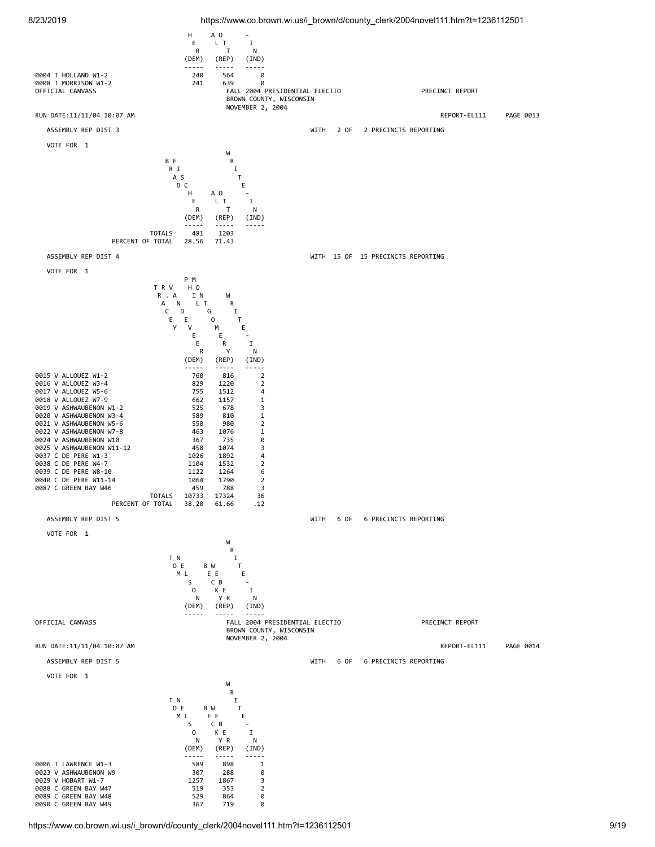

8/23/2019 https://www.co.brown.wi.us/i\_brown/d/county\_clerk/2004novel111.htm?t=1236112501

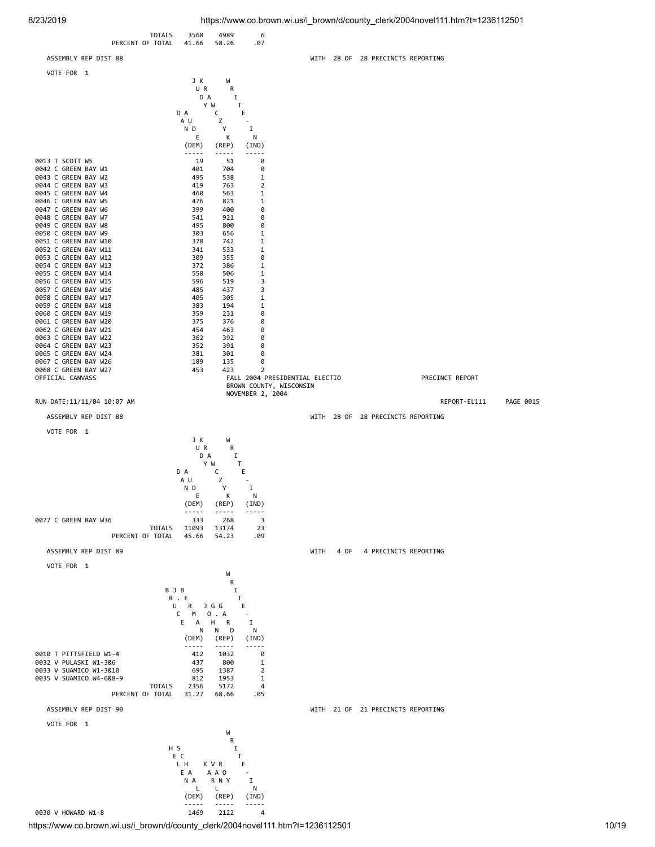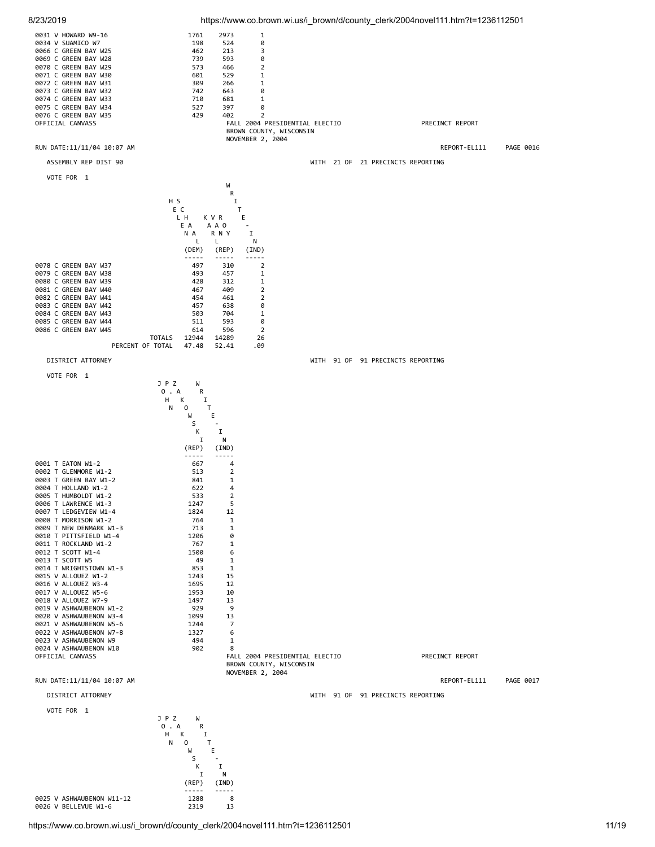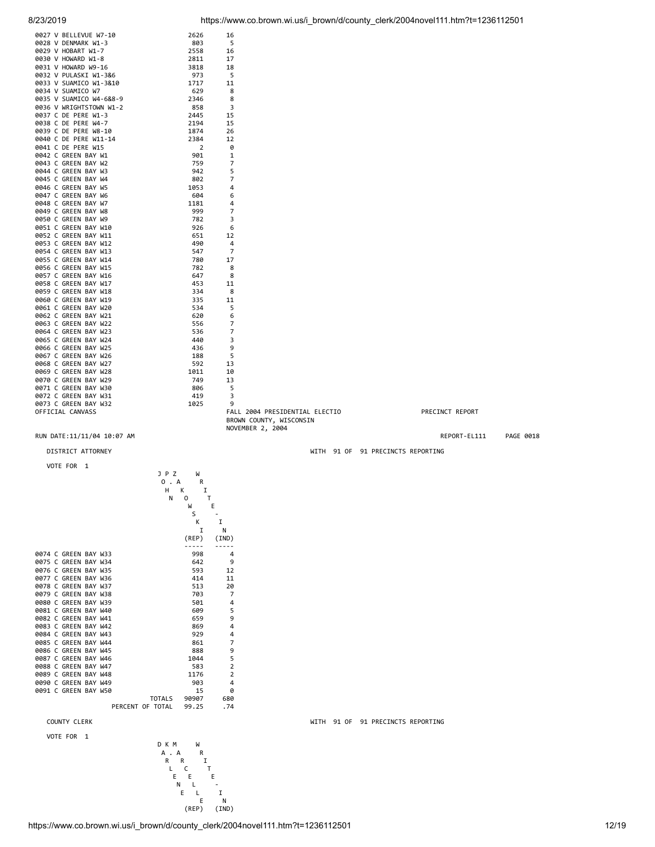

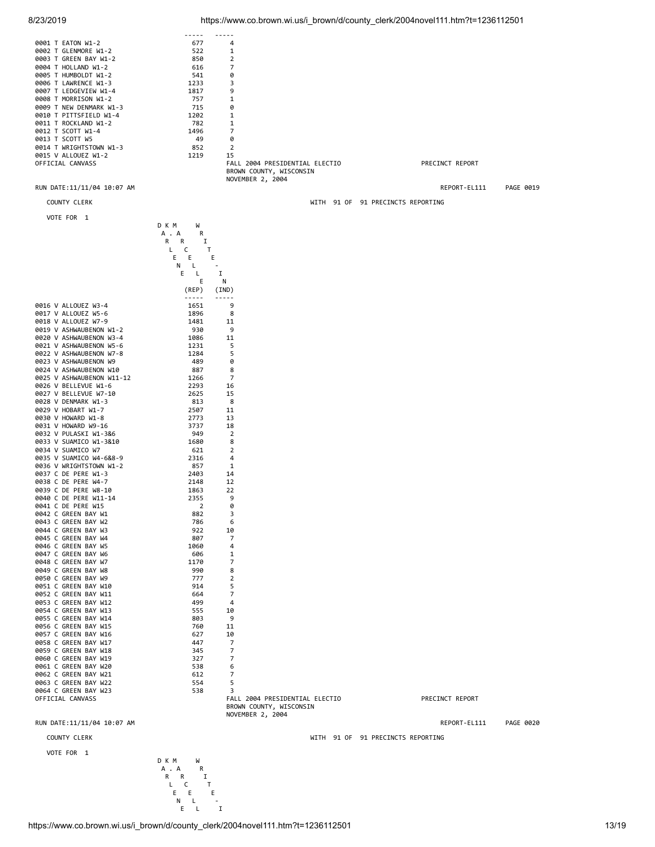### 8/23/2019 https://www.co.brown.wi.us/i\_brown/d/county\_clerk/2004novel111.htm?t=1236112501



|        |              |                                                         | D K M<br>W |                |
|--------|--------------|---------------------------------------------------------|------------|----------------|
|        |              |                                                         | А<br>А     | R              |
|        |              |                                                         | R<br>R     | I              |
|        |              |                                                         | L<br>c     | т              |
|        |              |                                                         | E<br>E     | E              |
|        |              |                                                         | N<br>L     |                |
|        |              |                                                         | E<br>L     | I              |
|        |              |                                                         |            | E<br>N         |
|        |              |                                                         | (REP)      | (IND)          |
|        |              |                                                         |            |                |
|        |              | 0016 V ALLOUEZ W3-4                                     | 1651       | 9              |
|        |              | 0017 V ALLOUEZ W5-6                                     | 1896       | 8              |
|        |              | 0018 V ALLOUEZ W7-9                                     | 1481       | 11             |
|        |              | 0019 V ASHWAUBENON W1-2                                 | 930        | 9              |
|        |              | 0020 V ASHWAUBENON W3-4                                 | 1086       | 11             |
| 0021   |              | V ASHWAUBENON W5-6                                      | 1231       | 5              |
|        |              | 0022 V ASHWAUBENON W7-8                                 | 1284       | 5              |
| 0023   |              | V ASHWAUBENON W9                                        | 489        | 0              |
| 0024   |              | V ASHWAUBENON W10                                       | 887        | 8              |
| 0025   |              | V ASHWAUBENON W11-12                                    | 1266       | 7              |
|        |              | 0026 V BELLEVUE W1-6                                    | 2293       | 16             |
|        |              | 0027 V BELLEVUE W7-10                                   | 2625       | 15             |
| 0028   |              | V DENMARK W1-3                                          | 813        | 8              |
|        |              | 0029 V HOBART<br>W1-7                                   | 2507       | 11             |
|        |              | 0030 V HOWARD W1-8                                      | 2773       | 13             |
| 0031 V |              | HOWARD W9-16                                            | 3737       | 18             |
| 0032   |              | V PULASKI W1-3&6                                        | 949        | 2              |
| 0033   | V            | SUAMICO W1-3&10                                         | 1680       | 8              |
|        |              | 0034 V SUAMICO W7                                       | 621        | $\overline{2}$ |
| 0035   | $\mathsf{V}$ | SUAMICO W4-6&8-9                                        | 2316       | 4              |
| 0036   |              | V WRIGHTSTOWN W1-2                                      | 857        | 1              |
| 0037   | с            | DE<br>PERE W1-3                                         | 2403       | 14             |
| 0038 C |              | DE<br>PERE<br>$W4 - 7$                                  | 2148       | 12             |
| 0039   | C            | DE<br>PERE<br>W8-10                                     | 1863       | 22             |
| 0040   | C            | DE<br>PERE<br>$W11 - 14$                                | 2355       | 9              |
| 0041   | c            | DE<br>PERE<br>W <sub>15</sub>                           |            | 0<br>2         |
| 0042   | C            | GREEN BAY W1                                            | 882        | 3              |
| 0043   | C            | BAY<br>GREEN<br>W <sub>2</sub>                          | 786        | 6              |
| 0044   | C            | GREEN<br>BAY<br>W <sub>3</sub>                          | 922        | 10             |
| 0045   | C            | <b>GREEN BAY</b><br>W <sub>4</sub>                      | 807        | 7              |
| 0046   | C            | GREEN BAY W5                                            | 1060       | 4              |
| 0047   | C            | GREEN<br>BAY<br>W <sub>6</sub>                          | 606        | 1              |
| 0048   | C            | GREEN<br>BAY<br>W7                                      | 1170       | 7              |
| 0049   | C            | GREEN<br>BAY<br>W <sub>8</sub>                          | 990        | 8              |
| 0050 C |              | GREEN<br>BAY W9                                         | 777        | $\overline{2}$ |
| 0051   | C            | GREEN<br>BAY<br>W10                                     | 914        | 5              |
| 0052   | C            | GREEN<br>BAY<br>W11                                     | 664        | 7              |
| 0053   | C            | GREEN<br>BAY<br>W12                                     | 499        | 4              |
| 0054   | C            | BAY W13<br>GREEN                                        | 555        | 10             |
| 0055   | C            | GREEN<br>BAY<br>W14                                     | 803        | 9              |
| 0056   | C            | BAY<br>GREEN<br>W15                                     | 760        | 11             |
| 0057   | C            | BAY<br>GREEN<br>W16                                     | 627        | 10             |
| 0058   | c            | BAY W17<br>GREEN                                        | 447        | 7              |
| 0059   | C            | GREEN<br>BAY W18                                        | 345        | 7              |
| 0060 C |              | GREEN<br>BAY<br>W19                                     | 327        | 7              |
| 0061   | C            | GREEN<br>BAY<br>W <sub>20</sub>                         | 538        | 6              |
| 0062   | C            | BAY<br>GREEN<br>W21                                     | 612        | 7              |
| 0063   | C            | BAY<br>GREEN<br>W <sub>22</sub>                         | 554        | 5<br>3         |
| 0064 C |              | <b>GREEN BAY</b><br>W <sub>23</sub><br>OFFICIAL CANVASS | 538        | FAL            |
|        |              |                                                         |            |                |

FALL 2004 PRESIDENTIAL ELECTIO PRECINCT REPORT BROWN COUNTY, WISCONSIN NOVEMBER 2, 2004

RUN DATE:11/11/04 10:07 AM REPORT-EL111 PAGE 0020

COUNTY CLERK WITH 91 OF 91 PRECINCTS REPORTING

VOTE FOR 1

D K M W<br>A . A R A . A R R R I L C T E E E N L - E L I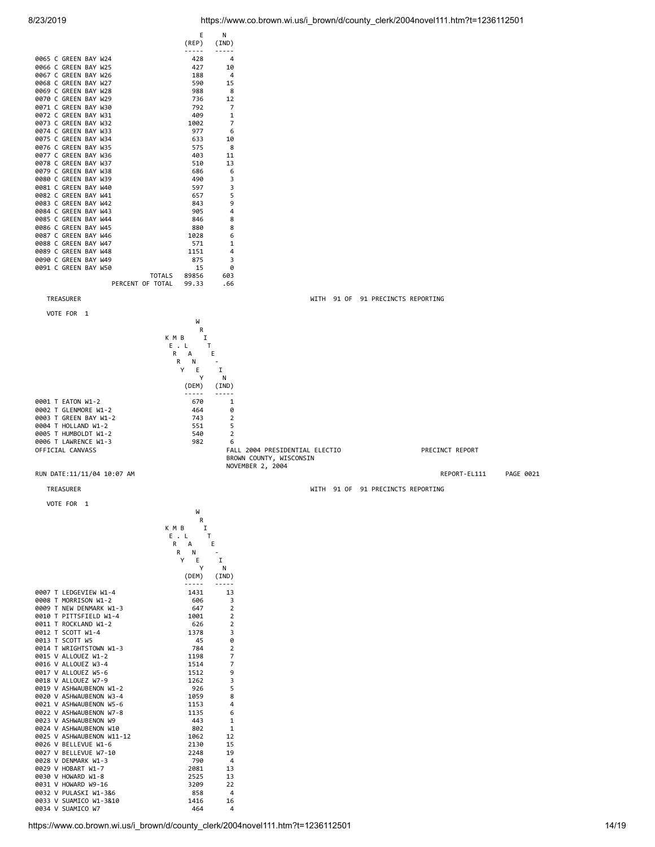

0034 V SUAMICO W7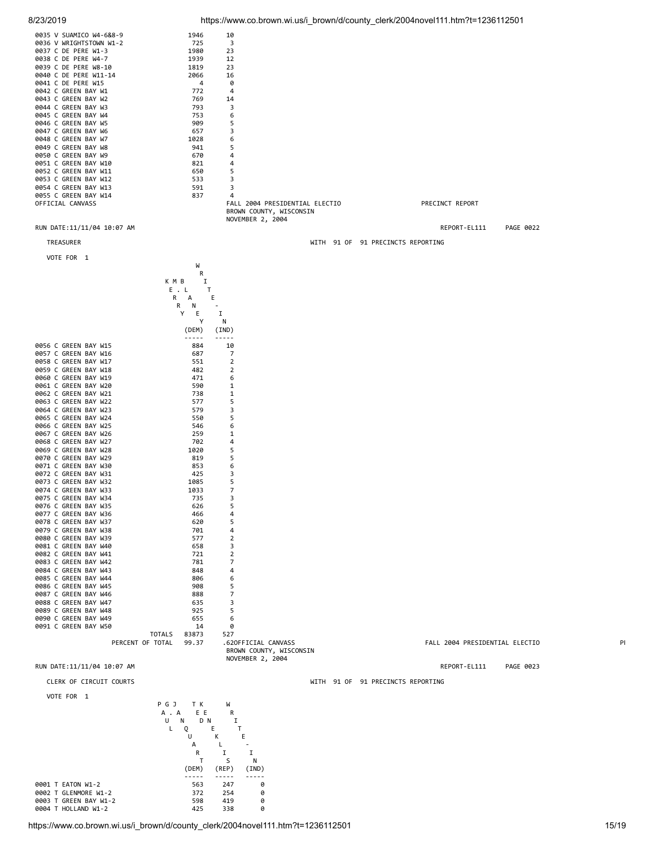

8/23/2019 https://www.co.brown.wi.us/i\_brown/d/county\_clerk/2004novel111.htm?t=1236112501



0004 T HOLLAND W1-2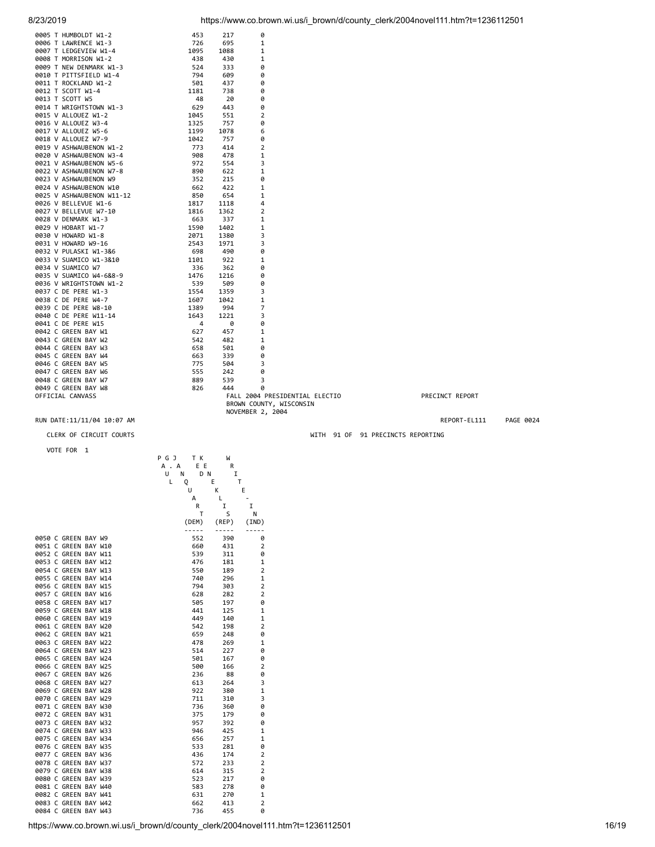0005 T HUMBOLDT W1-2 453 217 0

| 0006 T LAWRENCE W1-3                               | 726                    | 695         | 1                              |                                   |                 |           |
|----------------------------------------------------|------------------------|-------------|--------------------------------|-----------------------------------|-----------------|-----------|
| 0007 T LEDGEVIEW W1-4                              | 1095                   | 1088        | 1                              |                                   |                 |           |
| 0008 T MORRISON W1-2                               | 438                    | 430         | 1                              |                                   |                 |           |
| 0009 T NEW DENMARK W1-3                            | 524                    | 333         | 0                              |                                   |                 |           |
| 0010 T PITTSFIELD W1-4                             | 794                    | 609         | 0                              |                                   |                 |           |
| 0011 T ROCKLAND W1-2                               | 501                    | 437         | 0                              |                                   |                 |           |
| 0012 T SCOTT W1-4                                  | 1181                   | 738         | 0                              |                                   |                 |           |
| 0013 T SCOTT W5                                    | 48                     | 20          | 0                              |                                   |                 |           |
| 0014 T WRIGHTSTOWN W1-3                            | 629                    | 443         | 0                              |                                   |                 |           |
| 0015 V ALLOUEZ W1-2                                | 1045                   | 551         | $\overline{2}$                 |                                   |                 |           |
| 0016 V ALLOUEZ W3-4                                | 1325                   | 757         | 0                              |                                   |                 |           |
| 0017 V ALLOUEZ W5-6                                | 1199                   | 1078        | 6                              |                                   |                 |           |
| 0018 V ALLOUEZ W7-9                                | 1042                   | 757         | 0                              |                                   |                 |           |
| 0019 V ASHWAUBENON W1-2                            | 773                    | 414         | 2                              |                                   |                 |           |
| 0020 V ASHWAUBENON W3-4                            | 908                    | 478         | 1                              |                                   |                 |           |
| 0021 V ASHWAUBENON W5-6                            | 972                    | 554         | 3                              |                                   |                 |           |
| 0022 V ASHWAUBENON W7-8                            | 890                    | 622         | 1                              |                                   |                 |           |
| 0023 V ASHWAUBENON W9                              | 352                    | 215         | 0                              |                                   |                 |           |
| 0024 V ASHWAUBENON W10                             | 662                    | 422         | 1                              |                                   |                 |           |
| 0025 V ASHWAUBENON W11-12                          | 850                    | 654         | 1                              |                                   |                 |           |
| 0026 V BELLEVUE W1-6                               | 1817                   | 1118        | 4                              |                                   |                 |           |
| 0027 V BELLEVUE W7-10                              | 1816                   | 1362        | 2                              |                                   |                 |           |
| 0028 V DENMARK W1-3                                | 663                    | 337         | 1                              |                                   |                 |           |
| 0029 V HOBART W1-7                                 | 1590                   | 1402        | 1                              |                                   |                 |           |
| 0030 V HOWARD W1-8                                 | 2071                   | 1380        | 3                              |                                   |                 |           |
| 0031 V HOWARD W9-16                                | 2543                   | 1971        | 3                              |                                   |                 |           |
| 0032 V PULASKI W1-3&6                              | 698                    | 490         | 0                              |                                   |                 |           |
| 0033 V SUAMICO W1-3&10                             | 1101                   | 922         | 1                              |                                   |                 |           |
| 0034 V SUAMICO W7                                  | 336                    | 362         | 0                              |                                   |                 |           |
| 0035 V SUAMICO W4-6&8-9<br>0036 V WRIGHTSTOWN W1-2 | 1476                   | 1216<br>509 | 0                              |                                   |                 |           |
| 0037 C DE PERE W1-3                                | 539<br>1554            | 1359        | 0<br>3                         |                                   |                 |           |
| 0038 C DE PERE W4-7                                | 1607                   | 1042        | 1                              |                                   |                 |           |
| 0039 C DE PERE W8-10                               | 1389                   | 994         | 7                              |                                   |                 |           |
| 0040 C DE PERE W11-14                              | 1643                   | 1221        | 3                              |                                   |                 |           |
| 0041 C DE PERE W15                                 | 4                      | 0           | 0                              |                                   |                 |           |
| 0042 C GREEN BAY W1                                | 627                    | 457         | 1                              |                                   |                 |           |
| 0043 C GREEN BAY W2                                | 542                    | 482         | 1                              |                                   |                 |           |
| 0044 C GREEN BAY W3                                | 658                    | 501         | 0                              |                                   |                 |           |
| 0045 C GREEN BAY W4                                | 663                    | 339         | 0                              |                                   |                 |           |
| 0046 C GREEN BAY W5                                | 775                    | 504         | 3                              |                                   |                 |           |
| 0047 C GREEN BAY W6                                | 555                    | 242         | 0                              |                                   |                 |           |
| 0048 C GREEN BAY W7                                | 889                    | 539         | 3                              |                                   |                 |           |
| 0049 C GREEN BAY W8                                | 826                    | 444         | 0                              |                                   |                 |           |
| OFFICIAL CANVASS                                   |                        |             | FALL 2004 PRESIDENTIAL ELECTIO |                                   | PRECINCT REPORT |           |
|                                                    |                        |             | BROWN COUNTY, WISCONSIN        |                                   |                 |           |
|                                                    |                        |             | NOVEMBER 2, 2004               |                                   |                 |           |
| RUN DATE:11/11/04 10:07 AM                         |                        |             |                                |                                   | REPORT-EL111    | PAGE 0024 |
|                                                    |                        |             |                                |                                   |                 |           |
| CLERK OF CIRCUIT COURTS                            |                        |             |                                | WITH 91 OF 91 PRECINCTS REPORTING |                 |           |
| VOTE FOR 1                                         |                        |             |                                |                                   |                 |           |
|                                                    | P G J<br>T K<br>E E    | W           |                                |                                   |                 |           |
|                                                    | A . A<br>N<br>D N<br>U | R<br>I      |                                |                                   |                 |           |
|                                                    | L<br>Е<br>Q            | Τ           |                                |                                   |                 |           |
|                                                    | U                      | K           | Ε                              |                                   |                 |           |

|                      | T     | S           | N              |
|----------------------|-------|-------------|----------------|
|                      | (DEM) | $($ REP $)$ | (IND)          |
|                      |       |             |                |
| 0050 C GREEN BAY W9  | 552   | 390         | 0              |
| 0051 C GREEN BAY W10 | 660   | 431         | $\overline{2}$ |
| 0052 C GREEN BAY W11 | 539   | 311         | 0              |
| 0053 C GREEN BAY W12 | 476   | 181         | 1              |
| 0054 C GREEN BAY W13 | 550   | 189         | $\overline{2}$ |
| 0055 C GREEN BAY W14 | 740   | 296         | 1              |
| 0056 C GREEN BAY W15 | 794   | 303         | $\overline{2}$ |
| 0057 C GREEN BAY W16 | 628   | 282         | $\overline{2}$ |
| 0058 C GREEN BAY W17 | 505   | 197         | 0              |
| 0059 C GREEN BAY W18 | 441   | 125         | 1              |
| 0060 C GREEN BAY W19 | 449   | 140         | $\mathbf{1}$   |
| 0061 C GREEN BAY W20 | 542   | 198         | $\overline{2}$ |
| 0062 C GREEN BAY W21 | 659   | 248         | 0              |
| 0063 C GREEN BAY W22 | 478   | 269         | $\mathbf{1}$   |
| 0064 C GREEN BAY W23 | 514   | 227         | 0              |
| 0065 C GREEN BAY W24 | 501   | 167         | 0              |
| 0066 C GREEN BAY W25 | 500   | 166         | $\overline{2}$ |
| 0067 C GREEN BAY W26 | 236   | 88          | 0              |
| 0068 C GREEN BAY W27 | 613   | 264         | 3              |
| 0069 C GREEN BAY W28 | 922   | 380         | 1              |
| 0070 C GREEN BAY W29 | 711   | 310         | 3              |
| 0071 C GREEN BAY W30 | 736   | 360         | 0              |
| 0072 C GREEN BAY W31 | 375   | 179         | 0              |
| 0073 C GREEN BAY W32 | 957   | 392         | 0              |
| 0074 C GREEN BAY W33 | 946   | 425         | 1              |
| 0075 C GREEN BAY W34 | 656   | 257         | 1              |
| 0076 C GREEN BAY W35 | 533   | 281         | 0              |
| 0077 C GREEN BAY W36 | 436   | 174         | $\overline{2}$ |
| 0078 C GREEN BAY W37 | 572   | 233         | $\overline{2}$ |
| 0079 C GREEN BAY W38 | 614   | 315         | $\overline{2}$ |
| 0080 C GREEN BAY W39 | 523   | 217         | 0              |
| 0081 C GREEN BAY W40 | 583   | 278         | 0              |
| 0082 C GREEN BAY W41 | 631   | 270         | 1              |
| 0083 C GREEN BAY W42 | 662   | 413         | $\overline{2}$ |
| 0084 C GREEN BAY W43 | 736   | 455         | 0              |
|                      |       |             |                |

A L - R I I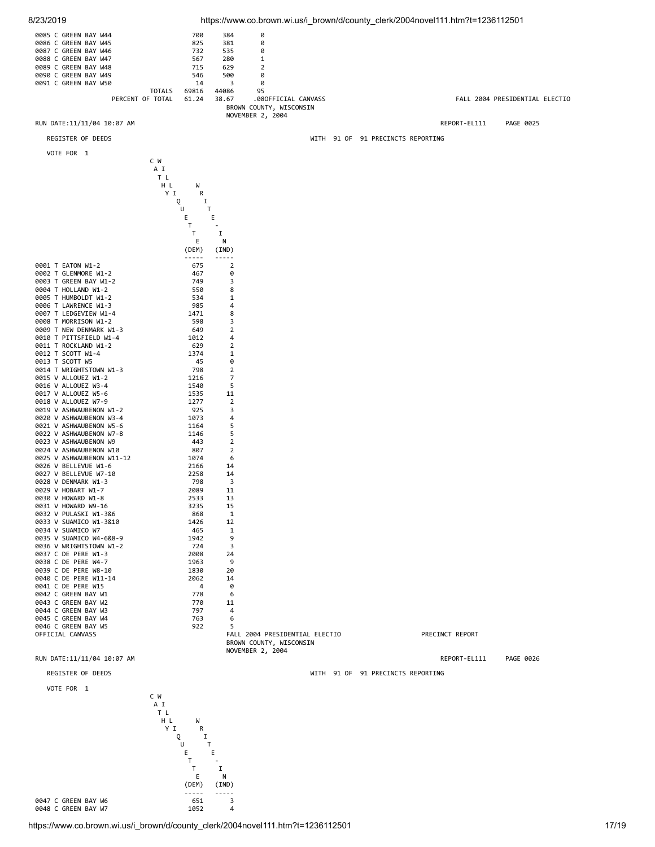

0047 C GREEN BAY W6 651 651 3<br>0048 C GREEN BAY W7 669 669 71052 4 0048 C GREEN BAY W7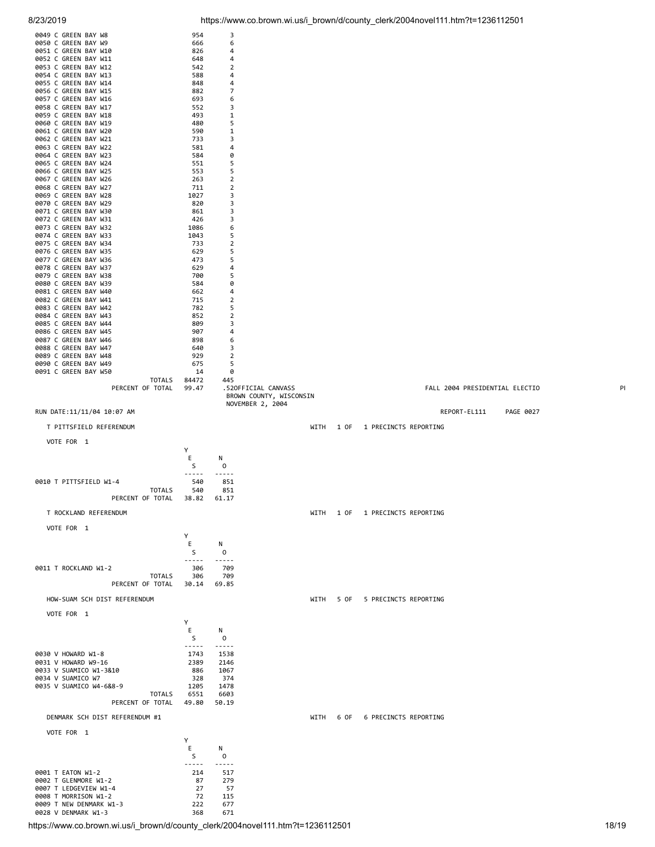| 0052 C GREEN BAY W11<br>0053 C GREEN BAY W12<br>0054 C GREEN BAY W13<br>0055 C GREEN BAY W14<br>0056 C GREEN BAY W15<br>0057 C GREEN BAY W16<br>0058 C GREEN BAY W17<br>0059 C GREEN BAY W18<br>0060 C GREEN BAY W19<br>0061 C GREEN BAY W20<br>0062 C GREEN BAY W21<br>0063 C GREEN BAY W22<br>0064 C GREEN BAY W23<br>0065 C GREEN BAY W24<br>0066 C GREEN BAY W25<br>0067 C GREEN BAY W26<br>0068 C GREEN BAY W27<br>0069 C GREEN BAY W28 | 648<br>542<br>588<br>848<br>882<br>693<br>552<br>493<br>480<br>590<br>733<br>581<br>584<br>551<br>553<br>263<br>711<br>1027 | 4<br>2<br>4<br>4<br>7<br>6<br>3<br>1<br>5<br>1<br>3<br>4<br>0<br>5<br>5<br>2<br>2<br>3 |                                                |           |                                      |
|----------------------------------------------------------------------------------------------------------------------------------------------------------------------------------------------------------------------------------------------------------------------------------------------------------------------------------------------------------------------------------------------------------------------------------------------|-----------------------------------------------------------------------------------------------------------------------------|----------------------------------------------------------------------------------------|------------------------------------------------|-----------|--------------------------------------|
| 0070 C GREEN BAY W29<br>0071 C GREEN BAY W30                                                                                                                                                                                                                                                                                                                                                                                                 | 820<br>861                                                                                                                  | 3<br>3                                                                                 |                                                |           |                                      |
| 0072 C GREEN BAY W31<br>0073 C GREEN BAY W32                                                                                                                                                                                                                                                                                                                                                                                                 | 426<br>1086                                                                                                                 | 3<br>6                                                                                 |                                                |           |                                      |
| 0074 C GREEN BAY W33                                                                                                                                                                                                                                                                                                                                                                                                                         | 1043                                                                                                                        | 5                                                                                      |                                                |           |                                      |
| 0075 C GREEN BAY W34<br>0076 C GREEN BAY W35                                                                                                                                                                                                                                                                                                                                                                                                 | 733<br>629                                                                                                                  | 2<br>5                                                                                 |                                                |           |                                      |
| 0077 C GREEN BAY W36<br>0078 C GREEN BAY W37                                                                                                                                                                                                                                                                                                                                                                                                 | 473<br>629                                                                                                                  | 5<br>4                                                                                 |                                                |           |                                      |
| 0079 C GREEN BAY W38<br>0080 C GREEN BAY W39                                                                                                                                                                                                                                                                                                                                                                                                 | 700<br>584                                                                                                                  | 5<br>0                                                                                 |                                                |           |                                      |
| 0081 C GREEN BAY W40<br>0082 C GREEN BAY W41                                                                                                                                                                                                                                                                                                                                                                                                 | 662<br>715                                                                                                                  | 4<br>2                                                                                 |                                                |           |                                      |
| 0083 C GREEN BAY W42<br>0084 C GREEN BAY W43                                                                                                                                                                                                                                                                                                                                                                                                 | 782<br>852                                                                                                                  | 5<br>2                                                                                 |                                                |           |                                      |
| 0085 C GREEN BAY W44<br>0086 C GREEN BAY W45                                                                                                                                                                                                                                                                                                                                                                                                 | 809<br>907                                                                                                                  | 3<br>4                                                                                 |                                                |           |                                      |
| 0087 C GREEN BAY W46                                                                                                                                                                                                                                                                                                                                                                                                                         | 898                                                                                                                         | 6                                                                                      |                                                |           |                                      |
| 0088 C GREEN BAY W47<br>0089 C GREEN BAY W48                                                                                                                                                                                                                                                                                                                                                                                                 | 640<br>929                                                                                                                  | 3<br>2                                                                                 |                                                |           |                                      |
| 0090 C GREEN BAY W49<br>0091 C GREEN BAY W50                                                                                                                                                                                                                                                                                                                                                                                                 | 675<br>14                                                                                                                   | 5<br>0                                                                                 |                                                |           |                                      |
| <b>TOTALS</b><br>PERCENT OF TOTAL                                                                                                                                                                                                                                                                                                                                                                                                            | 84472<br>99.47                                                                                                              | 445                                                                                    | .520FFICIAL CANVASS<br>BROWN COUNTY, WISCONSIN |           | FALL 2004 PRESIDENTIAL ELECTIO<br>PI |
| RUN DATE:11/11/04 10:07 AM                                                                                                                                                                                                                                                                                                                                                                                                                   |                                                                                                                             |                                                                                        | NOVEMBER 2, 2004                               |           | REPORT-EL111<br>PAGE 0027            |
| T PITTSFIELD REFERENDUM                                                                                                                                                                                                                                                                                                                                                                                                                      |                                                                                                                             |                                                                                        | WITH                                           | 1 OF      | 1 PRECINCTS REPORTING                |
| VOTE FOR 1                                                                                                                                                                                                                                                                                                                                                                                                                                   |                                                                                                                             |                                                                                        |                                                |           |                                      |
|                                                                                                                                                                                                                                                                                                                                                                                                                                              | Υ<br>Ε<br>S                                                                                                                 | Ν<br>0<br>-----                                                                        |                                                |           |                                      |
| 0010 T PITTSFIELD W1-4<br><b>TOTALS</b><br>PERCENT OF TOTAL                                                                                                                                                                                                                                                                                                                                                                                  | 540<br>540<br>38.82                                                                                                         | 851<br>851<br>61.17                                                                    |                                                |           |                                      |
| T ROCKLAND REFERENDUM                                                                                                                                                                                                                                                                                                                                                                                                                        |                                                                                                                             |                                                                                        | WITH                                           | 1 OF      | 1 PRECINCTS REPORTING                |
| VOTE FOR 1                                                                                                                                                                                                                                                                                                                                                                                                                                   |                                                                                                                             |                                                                                        |                                                |           |                                      |
|                                                                                                                                                                                                                                                                                                                                                                                                                                              | Y<br>Ε<br>S                                                                                                                 | Ν<br>0<br>-----                                                                        |                                                |           |                                      |
| 0011 T ROCKLAND W1-2<br><b>TOTALS</b><br>PERCENT OF TOTAL                                                                                                                                                                                                                                                                                                                                                                                    | 306<br>306<br>30.14                                                                                                         | 709<br>709<br>69.85                                                                    |                                                |           |                                      |
| HOW-SUAM SCH DIST REFERENDUM                                                                                                                                                                                                                                                                                                                                                                                                                 |                                                                                                                             |                                                                                        |                                                | WITH 5 OF | 5 PRECINCTS REPORTING                |
| VOTE FOR 1                                                                                                                                                                                                                                                                                                                                                                                                                                   |                                                                                                                             |                                                                                        |                                                |           |                                      |
|                                                                                                                                                                                                                                                                                                                                                                                                                                              | Υ<br>Е<br>S                                                                                                                 | Ν<br>0                                                                                 |                                                |           |                                      |
| 0030 V HOWARD W1-8<br>0031 V HOWARD W9-16<br>0033 V SUAMICO W1-3&10<br>0034 V SUAMICO W7<br>0035 V SUAMICO W4-6&8-9<br>TOTALS<br>PERCENT OF TOTAL                                                                                                                                                                                                                                                                                            | $- - - - -$<br>1743<br>2389<br>886<br>328<br>1205<br>6551<br>49.80                                                          | -----<br>1538<br>2146<br>1067<br>374<br>1478<br>6603<br>50.19                          |                                                |           |                                      |
| DENMARK SCH DIST REFERENDUM #1                                                                                                                                                                                                                                                                                                                                                                                                               |                                                                                                                             |                                                                                        | WITH                                           | 6 OF      | 6 PRECINCTS REPORTING                |
| VOTE FOR 1                                                                                                                                                                                                                                                                                                                                                                                                                                   |                                                                                                                             |                                                                                        |                                                |           |                                      |
|                                                                                                                                                                                                                                                                                                                                                                                                                                              | Υ<br>Е<br>S                                                                                                                 | Ν<br>0                                                                                 |                                                |           |                                      |
| 0001 T EATON W1-2<br>0002 T GLENMORE W1-2<br>0007 T LEDGEVIEW W1-4<br>0008 T MORRISON W1-2<br>0009 T NEW DENMARK W1-3<br>0028 V DENMARK W1-3                                                                                                                                                                                                                                                                                                 | 214<br>87<br>27<br>72<br>222<br>368                                                                                         | .<br>517<br>279<br>57<br>115<br>677<br>671                                             |                                                |           |                                      |

https://www.co.brown.wi.us/i\_brown/d/county\_clerk/2004novel111.htm?t=1236112501

0049 C GREEN BAY W8 954 3 0050 C GREEN BAY W9 666 6 0051 C GREEN BAY W10 826 4